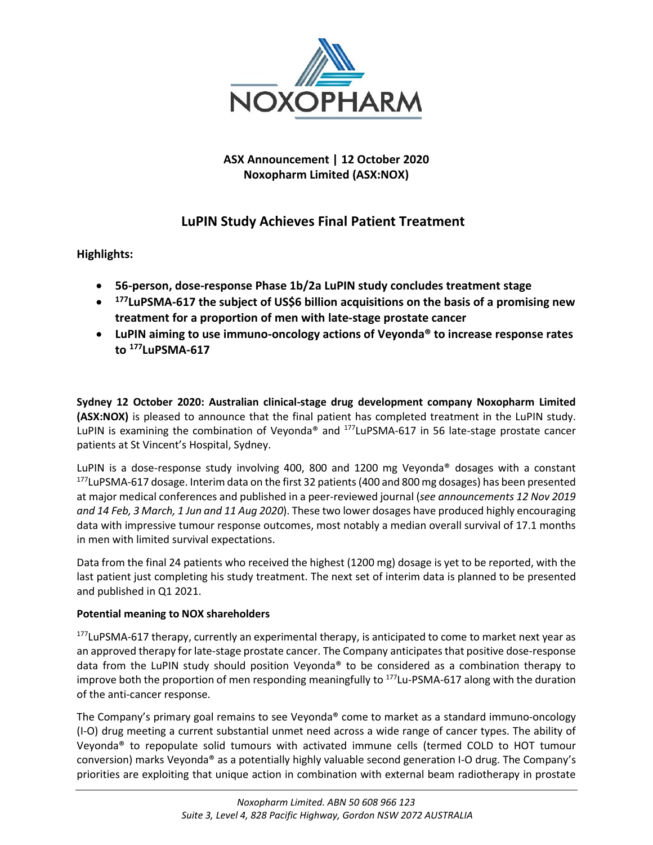

## **ASX Announcement | 12 October 2020 Noxopharm Limited (ASX:NOX)**

# **LuPIN Study Achieves Final Patient Treatment**

**Highlights:**

- **56-person, dose-response Phase 1b/2a LuPIN study concludes treatment stage**
- **<sup>177</sup>LuPSMA-617 the subject of US\$6 billion acquisitions on the basis of a promising new treatment for a proportion of men with late-stage prostate cancer**
- **LuPIN aiming to use immuno-oncology actions of Veyonda® to increase response rates to <sup>177</sup>LuPSMA-617**

**Sydney 12 October 2020: Australian clinical-stage drug development company Noxopharm Limited (ASX:NOX)** is pleased to announce that the final patient has completed treatment in the LuPIN study. LuPIN is examining the combination of Veyonda® and <sup>177</sup>LuPSMA-617 in 56 late-stage prostate cancer patients at St Vincent's Hospital, Sydney.

LuPIN is a dose-response study involving 400, 800 and 1200 mg Veyonda® dosages with a constant <sup>177</sup>LuPSMA-617 dosage. Interim data on the first 32 patients (400 and 800 mg dosages) has been presented at major medical conferences and published in a peer-reviewed journal (*see announcements 12 Nov 2019 and 14 Feb, 3 March, 1 Jun and 11 Aug 2020*). These two lower dosages have produced highly encouraging data with impressive tumour response outcomes, most notably a median overall survival of 17.1 months in men with limited survival expectations.

Data from the final 24 patients who received the highest (1200 mg) dosage is yet to be reported, with the last patient just completing his study treatment. The next set of interim data is planned to be presented and published in Q1 2021.

### **Potential meaning to NOX shareholders**

 $177$ LuPSMA-617 therapy, currently an experimental therapy, is anticipated to come to market next year as an approved therapy for late-stage prostate cancer. The Company anticipates that positive dose-response data from the LuPIN study should position Veyonda® to be considered as a combination therapy to improve both the proportion of men responding meaningfully to  $^{177}$ Lu-PSMA-617 along with the duration of the anti-cancer response.

The Company's primary goal remains to see Veyonda® come to market as a standard immuno-oncology (I-O) drug meeting a current substantial unmet need across a wide range of cancer types. The ability of Veyonda® to repopulate solid tumours with activated immune cells (termed COLD to HOT tumour conversion) marks Veyonda® as a potentially highly valuable second generation I-O drug. The Company's priorities are exploiting that unique action in combination with external beam radiotherapy in prostate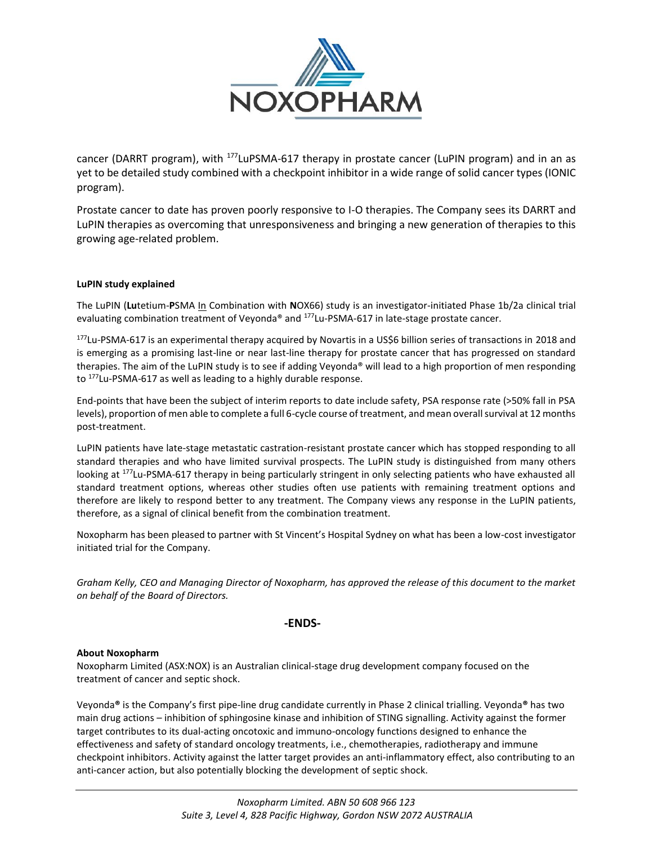

cancer (DARRT program), with <sup>177</sup>LuPSMA-617 therapy in prostate cancer (LuPIN program) and in an as yet to be detailed study combined with a checkpoint inhibitor in a wide range of solid cancer types (IONIC program).

Prostate cancer to date has proven poorly responsive to I-O therapies. The Company sees its DARRT and LuPIN therapies as overcoming that unresponsiveness and bringing a new generation of therapies to this growing age-related problem.

#### **LuPIN study explained**

The LuPIN (**Lu**tetium-**P**SMA In Combination with **N**OX66) study is an investigator-initiated Phase 1b/2a clinical trial evaluating combination treatment of Veyonda® and <sup>177</sup>Lu-PSMA-617 in late-stage prostate cancer.

<sup>177</sup>Lu-PSMA-617 is an experimental therapy acquired by Novartis in a US\$6 billion series of transactions in 2018 and is emerging as a promising last-line or near last-line therapy for prostate cancer that has progressed on standard therapies. The aim of the LuPIN study is to see if adding Veyonda® will lead to a high proportion of men responding to <sup>177</sup>Lu-PSMA-617 as well as leading to a highly durable response.

End-points that have been the subject of interim reports to date include safety, PSA response rate (>50% fall in PSA levels), proportion of men able to complete a full 6-cycle course of treatment, and mean overall survival at 12 months post-treatment.

LuPIN patients have late-stage metastatic castration-resistant prostate cancer which has stopped responding to all standard therapies and who have limited survival prospects. The LuPIN study is distinguished from many others looking at <sup>177</sup>Lu-PSMA-617 therapy in being particularly stringent in only selecting patients who have exhausted all standard treatment options, whereas other studies often use patients with remaining treatment options and therefore are likely to respond better to any treatment. The Company views any response in the LuPIN patients, therefore, as a signal of clinical benefit from the combination treatment.

Noxopharm has been pleased to partner with St Vincent's Hospital Sydney on what has been a low-cost investigator initiated trial for the Company.

*Graham Kelly, CEO and Managing Director of Noxopharm, has approved the release of this document to the market on behalf of the Board of Directors.*

#### **-ENDS-**

#### **About Noxopharm**

Noxopharm Limited (ASX:NOX) is an Australian clinical-stage drug development company focused on the treatment of cancer and septic shock.

Veyonda**®** is the Company's first pipe-line drug candidate currently in Phase 2 clinical trialling. Veyonda**®** has two main drug actions – inhibition of sphingosine kinase and inhibition of STING signalling. Activity against the former target contributes to its dual-acting oncotoxic and immuno-oncology functions designed to enhance the effectiveness and safety of standard oncology treatments, i.e., chemotherapies, radiotherapy and immune checkpoint inhibitors. Activity against the latter target provides an anti-inflammatory effect, also contributing to an anti-cancer action, but also potentially blocking the development of septic shock.